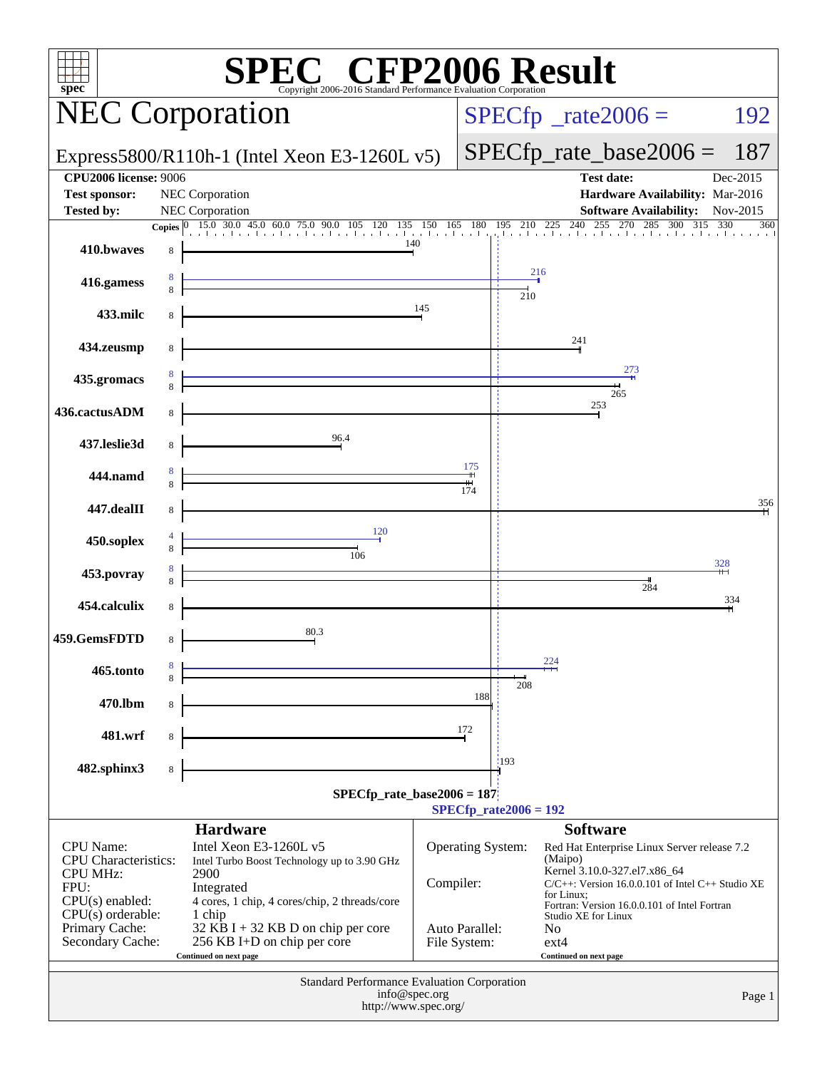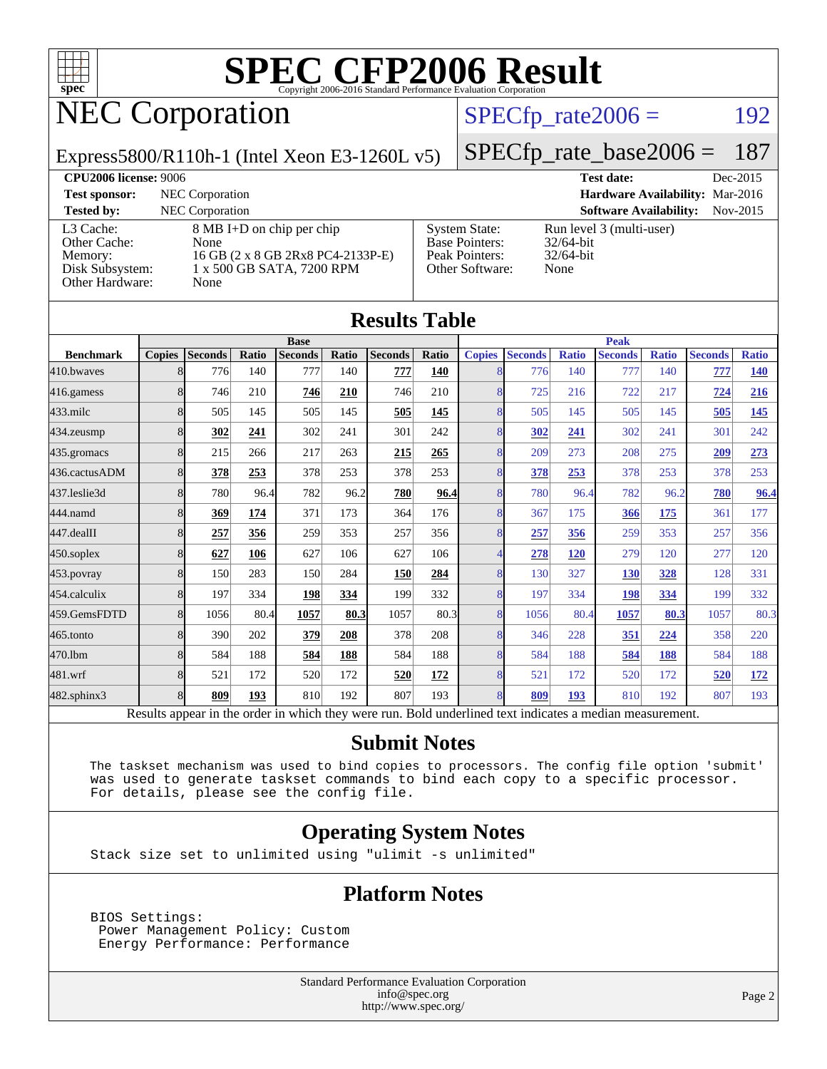

# NEC Corporation

### $SPECTp_rate2006 = 192$

Express5800/R110h-1 (Intel Xeon E3-1260L v5)

[SPECfp\\_rate\\_base2006 =](http://www.spec.org/auto/cpu2006/Docs/result-fields.html#SPECfpratebase2006) 187

| <b>CPU2006 license: 9006</b>                                               |                                                                                                             |                                                                                    | <b>Test date:</b>                                                | Dec-2015 |  |  |  |
|----------------------------------------------------------------------------|-------------------------------------------------------------------------------------------------------------|------------------------------------------------------------------------------------|------------------------------------------------------------------|----------|--|--|--|
| <b>Test sponsor:</b>                                                       | NEC Corporation                                                                                             |                                                                                    | Hardware Availability: Mar-2016                                  |          |  |  |  |
| <b>Tested by:</b>                                                          | NEC Corporation                                                                                             |                                                                                    | <b>Software Availability:</b>                                    | Nov-2015 |  |  |  |
| L3 Cache:<br>Other Cache:<br>Memory:<br>Disk Subsystem:<br>Other Hardware: | 8 MB I+D on chip per chip<br>None<br>16 GB (2 x 8 GB 2Rx8 PC4-2133P-E)<br>1 x 500 GB SATA, 7200 RPM<br>None | <b>System State:</b><br><b>Base Pointers:</b><br>Peak Pointers:<br>Other Software: | Run level 3 (multi-user)<br>$32/64$ -bit<br>$32/64$ -bit<br>None |          |  |  |  |

**[Results Table](http://www.spec.org/auto/cpu2006/Docs/result-fields.html#ResultsTable)**

| Results Table    |               |                                                                                                          |             |                |       |                |              |                |                |              |                |              |                |              |
|------------------|---------------|----------------------------------------------------------------------------------------------------------|-------------|----------------|-------|----------------|--------------|----------------|----------------|--------------|----------------|--------------|----------------|--------------|
|                  |               |                                                                                                          | <b>Base</b> |                |       | <b>Peak</b>    |              |                |                |              |                |              |                |              |
| <b>Benchmark</b> | <b>Copies</b> | <b>Seconds</b>                                                                                           | Ratio       | <b>Seconds</b> | Ratio | <b>Seconds</b> | <b>Ratio</b> | <b>Copies</b>  | <b>Seconds</b> | <b>Ratio</b> | <b>Seconds</b> | <b>Ratio</b> | <b>Seconds</b> | <b>Ratio</b> |
| 410.bwayes       |               | 776                                                                                                      | 140         | 777            | 140   | 777            | 140          | 8              | 776            | 140          | 777            | 140          | 777            | <b>140</b>   |
| 416.gamess       | 8             | 746                                                                                                      | 210         | 746            | 210   | 746            | 210          | 8              | 725            | 216          | 722            | 217          | 724            | 216          |
| 433.milc         |               | 505                                                                                                      | 145         | 505            | 145   | 505            | 145          | 8              | 505            | 145          | 505            | 145          | 505            | <u>145</u>   |
| 434.zeusmp       | 8             | 302                                                                                                      | 241         | 302            | 241   | 301            | 242          | 8              | 302            | 241          | 302            | 241          | 301            | 242          |
| 435.gromacs      | 8             | 215                                                                                                      | 266         | 217            | 263   | 215            | 265          | 8              | 209            | 273          | 208            | 275          | 209            | 273          |
| 436.cactusADM    | 8             | 378                                                                                                      | 253         | 378            | 253   | 378            | 253          | 8              | 378            | 253          | 378            | 253          | 378            | 253          |
| 437.leslie3d     | 8             | 780                                                                                                      | 96.4        | 782            | 96.2  | 780            | 96.4         | 8              | 780            | 96.4         | 782            | 96.2         | 780            | 96.4         |
| 444.namd         | 8             | 369                                                                                                      | 174         | 371            | 173   | 364            | 176          | 8              | 367            | 175          | 366            | 175          | 361            | 177          |
| 447.dealII       | 8             | 257                                                                                                      | 356         | 259            | 353   | 257            | 356          | 8              | 257            | 356          | 259            | 353          | 257            | 356          |
| 450.soplex       | 8             | 627                                                                                                      | 106         | 627            | 106   | 627            | 106          | Δ              | 278            | 120          | 279            | 120          | 277            | 120          |
| 453.povray       | 8             | 150                                                                                                      | 283         | 150            | 284   | 150            | 284          | 8              | 130            | 327          | 130            | 328          | 128            | 331          |
| 454.calculix     | 8             | 197                                                                                                      | 334         | 198            | 334   | 199            | 332          | 8              | 197            | 334          | 198            | 334          | 199            | 332          |
| 459.GemsFDTD     | 8             | 1056                                                                                                     | 80.4        | 1057           | 80.3  | 1057           | 80.3         | 8              | 1056           | 80.4         | 1057           | 80.3         | 1057           | 80.3         |
| $465$ .tonto     | 8             | 390                                                                                                      | 202         | 379            | 208   | 378            | 208          | $\overline{8}$ | 346            | 228          | 351            | 224          | 358            | 220          |
| 470.1bm          | 8             | 584                                                                                                      | 188         | 584            | 188   | 584            | 188          | 8              | 584            | 188          | 584            | 188          | 584            | 188          |
| 481.wrf          | 8             | 521                                                                                                      | 172         | 520            | 172   | 520            | 172          | 8              | 521            | 172          | 520            | 172          | 520            | <u>172</u>   |
| 482.sphinx3      | 8             | 809                                                                                                      | 193         | 810            | 192   | 807            | 193          | $\overline{8}$ | 809            | 193          | 810            | 192          | 807            | 193          |
|                  |               | Results appear in the order in which they were run. Bold underlined text indicates a median measurement. |             |                |       |                |              |                |                |              |                |              |                |              |

#### **[Submit Notes](http://www.spec.org/auto/cpu2006/Docs/result-fields.html#SubmitNotes)**

 The taskset mechanism was used to bind copies to processors. The config file option 'submit' was used to generate taskset commands to bind each copy to a specific processor. For details, please see the config file.

#### **[Operating System Notes](http://www.spec.org/auto/cpu2006/Docs/result-fields.html#OperatingSystemNotes)**

Stack size set to unlimited using "ulimit -s unlimited"

#### **[Platform Notes](http://www.spec.org/auto/cpu2006/Docs/result-fields.html#PlatformNotes)**

 BIOS Settings: Power Management Policy: Custom Energy Performance: Performance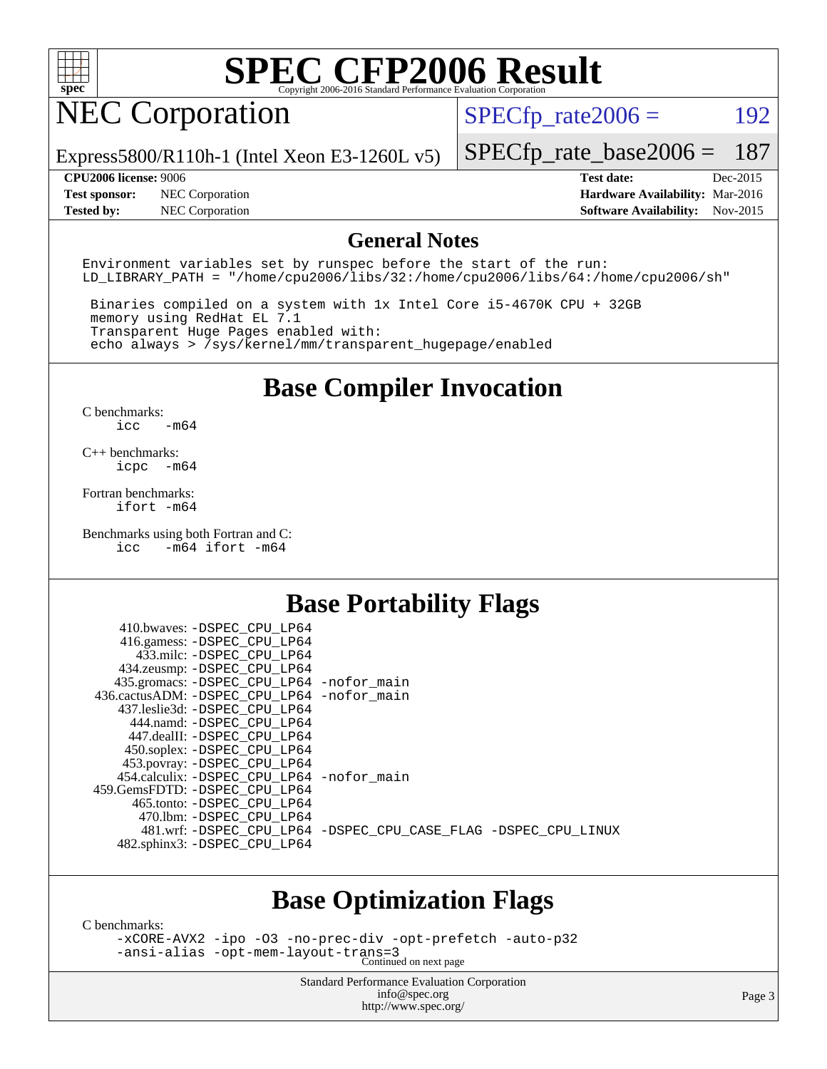

## NEC Corporation

 $SPECTp_rate2006 = 192$ 

Express5800/R110h-1 (Intel Xeon E3-1260L v5)

[SPECfp\\_rate\\_base2006 =](http://www.spec.org/auto/cpu2006/Docs/result-fields.html#SPECfpratebase2006) 187

**[Test sponsor:](http://www.spec.org/auto/cpu2006/Docs/result-fields.html#Testsponsor)** NEC Corporation **[Hardware Availability:](http://www.spec.org/auto/cpu2006/Docs/result-fields.html#HardwareAvailability)** Mar-2016

**[CPU2006 license:](http://www.spec.org/auto/cpu2006/Docs/result-fields.html#CPU2006license)** 9006 **[Test date:](http://www.spec.org/auto/cpu2006/Docs/result-fields.html#Testdate)** Dec-2015 **[Tested by:](http://www.spec.org/auto/cpu2006/Docs/result-fields.html#Testedby)** NEC Corporation **[Software Availability:](http://www.spec.org/auto/cpu2006/Docs/result-fields.html#SoftwareAvailability)** Nov-2015

#### **[General Notes](http://www.spec.org/auto/cpu2006/Docs/result-fields.html#GeneralNotes)**

Environment variables set by runspec before the start of the run: LD LIBRARY PATH = "/home/cpu2006/libs/32:/home/cpu2006/libs/64:/home/cpu2006/sh"

 Binaries compiled on a system with 1x Intel Core i5-4670K CPU + 32GB memory using RedHat EL 7.1 Transparent Huge Pages enabled with: echo always > /sys/kernel/mm/transparent\_hugepage/enabled

### **[Base Compiler Invocation](http://www.spec.org/auto/cpu2006/Docs/result-fields.html#BaseCompilerInvocation)**

[C benchmarks](http://www.spec.org/auto/cpu2006/Docs/result-fields.html#Cbenchmarks): [icc -m64](http://www.spec.org/cpu2006/results/res2016q1/cpu2006-20160125-38810.flags.html#user_CCbase_intel_icc_64bit_0b7121f5ab7cfabee23d88897260401c)

[C++ benchmarks:](http://www.spec.org/auto/cpu2006/Docs/result-fields.html#CXXbenchmarks) [icpc -m64](http://www.spec.org/cpu2006/results/res2016q1/cpu2006-20160125-38810.flags.html#user_CXXbase_intel_icpc_64bit_bedb90c1146cab66620883ef4f41a67e)

[Fortran benchmarks](http://www.spec.org/auto/cpu2006/Docs/result-fields.html#Fortranbenchmarks): [ifort -m64](http://www.spec.org/cpu2006/results/res2016q1/cpu2006-20160125-38810.flags.html#user_FCbase_intel_ifort_64bit_ee9d0fb25645d0210d97eb0527dcc06e)

[Benchmarks using both Fortran and C](http://www.spec.org/auto/cpu2006/Docs/result-fields.html#BenchmarksusingbothFortranandC): [icc -m64](http://www.spec.org/cpu2006/results/res2016q1/cpu2006-20160125-38810.flags.html#user_CC_FCbase_intel_icc_64bit_0b7121f5ab7cfabee23d88897260401c) [ifort -m64](http://www.spec.org/cpu2006/results/res2016q1/cpu2006-20160125-38810.flags.html#user_CC_FCbase_intel_ifort_64bit_ee9d0fb25645d0210d97eb0527dcc06e)

### **[Base Portability Flags](http://www.spec.org/auto/cpu2006/Docs/result-fields.html#BasePortabilityFlags)**

| 410.bwaves: -DSPEC CPU LP64                              |                                                                |
|----------------------------------------------------------|----------------------------------------------------------------|
| 416.gamess: -DSPEC_CPU_LP64<br>433.milc: -DSPEC CPU LP64 |                                                                |
| 434.zeusmp: - DSPEC_CPU_LP64                             |                                                                |
| 435.gromacs: -DSPEC_CPU_LP64 -nofor_main                 |                                                                |
| 436.cactusADM: - DSPEC CPU LP64 - nofor main             |                                                                |
| 437.leslie3d: -DSPEC CPU LP64                            |                                                                |
| 444.namd: -DSPEC CPU LP64                                |                                                                |
| 447.dealII: -DSPEC CPU LP64                              |                                                                |
| 450.soplex: -DSPEC_CPU_LP64                              |                                                                |
| 453.povray: -DSPEC_CPU_LP64                              |                                                                |
| 454.calculix: -DSPEC CPU LP64 -nofor main                |                                                                |
| 459.GemsFDTD: -DSPEC CPU LP64                            |                                                                |
| 465.tonto: - DSPEC CPU LP64                              |                                                                |
| 470.1bm: - DSPEC CPU LP64                                |                                                                |
|                                                          | 481.wrf: -DSPEC CPU_LP64 -DSPEC_CPU_CASE_FLAG -DSPEC_CPU_LINUX |
| 482.sphinx3: -DSPEC_CPU_LP64                             |                                                                |
|                                                          |                                                                |

### **[Base Optimization Flags](http://www.spec.org/auto/cpu2006/Docs/result-fields.html#BaseOptimizationFlags)**

[C benchmarks](http://www.spec.org/auto/cpu2006/Docs/result-fields.html#Cbenchmarks):

[-xCORE-AVX2](http://www.spec.org/cpu2006/results/res2016q1/cpu2006-20160125-38810.flags.html#user_CCbase_f-xAVX2_5f5fc0cbe2c9f62c816d3e45806c70d7) [-ipo](http://www.spec.org/cpu2006/results/res2016q1/cpu2006-20160125-38810.flags.html#user_CCbase_f-ipo) [-O3](http://www.spec.org/cpu2006/results/res2016q1/cpu2006-20160125-38810.flags.html#user_CCbase_f-O3) [-no-prec-div](http://www.spec.org/cpu2006/results/res2016q1/cpu2006-20160125-38810.flags.html#user_CCbase_f-no-prec-div) [-opt-prefetch](http://www.spec.org/cpu2006/results/res2016q1/cpu2006-20160125-38810.flags.html#user_CCbase_f-opt-prefetch) [-auto-p32](http://www.spec.org/cpu2006/results/res2016q1/cpu2006-20160125-38810.flags.html#user_CCbase_f-auto-p32) [-ansi-alias](http://www.spec.org/cpu2006/results/res2016q1/cpu2006-20160125-38810.flags.html#user_CCbase_f-ansi-alias) [-opt-mem-layout-trans=3](http://www.spec.org/cpu2006/results/res2016q1/cpu2006-20160125-38810.flags.html#user_CCbase_f-opt-mem-layout-trans_a7b82ad4bd7abf52556d4961a2ae94d5) Continued on next page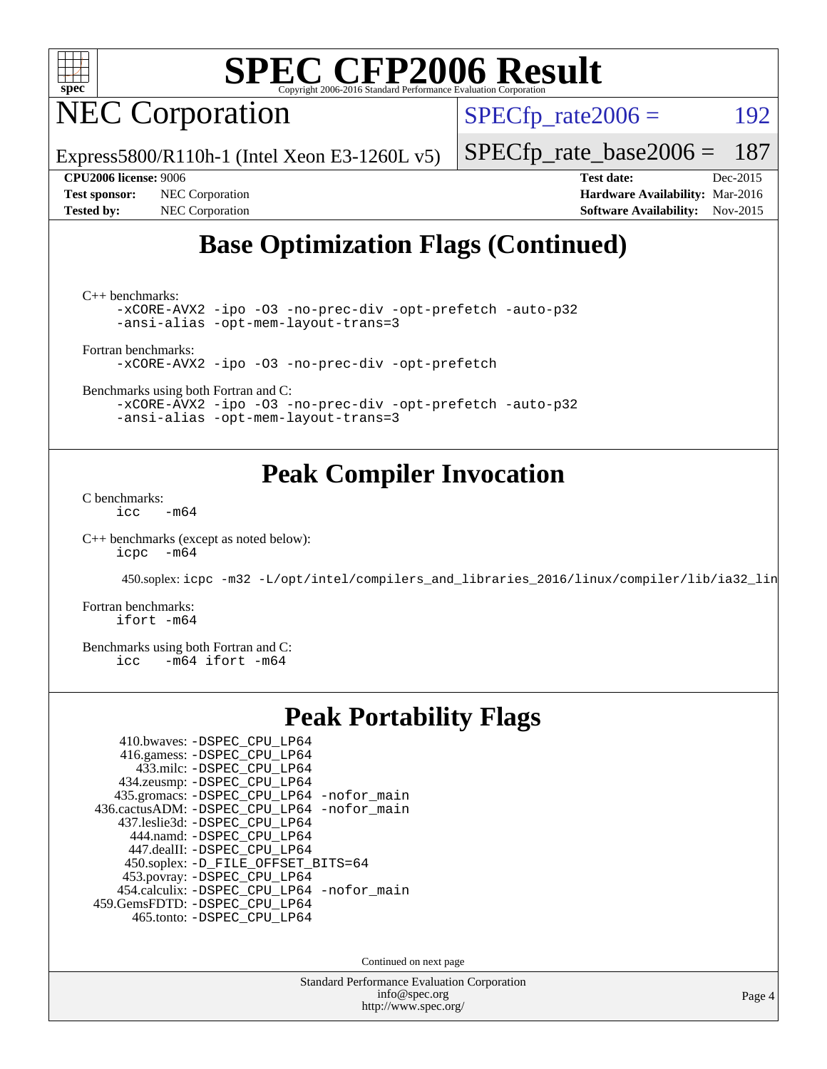

NEC Corporation

 $SPECTp_rate2006 = 192$ 

Express5800/R110h-1 (Intel Xeon E3-1260L v5)

[SPECfp\\_rate\\_base2006 =](http://www.spec.org/auto/cpu2006/Docs/result-fields.html#SPECfpratebase2006) 187

**[Test sponsor:](http://www.spec.org/auto/cpu2006/Docs/result-fields.html#Testsponsor)** NEC Corporation **[Hardware Availability:](http://www.spec.org/auto/cpu2006/Docs/result-fields.html#HardwareAvailability)** Mar-2016 **[Tested by:](http://www.spec.org/auto/cpu2006/Docs/result-fields.html#Testedby)** NEC Corporation **[Software Availability:](http://www.spec.org/auto/cpu2006/Docs/result-fields.html#SoftwareAvailability)** Nov-2015

**[CPU2006 license:](http://www.spec.org/auto/cpu2006/Docs/result-fields.html#CPU2006license)** 9006 **[Test date:](http://www.spec.org/auto/cpu2006/Docs/result-fields.html#Testdate)** Dec-2015

### **[Base Optimization Flags \(Continued\)](http://www.spec.org/auto/cpu2006/Docs/result-fields.html#BaseOptimizationFlags)**

[C++ benchmarks:](http://www.spec.org/auto/cpu2006/Docs/result-fields.html#CXXbenchmarks)

[-xCORE-AVX2](http://www.spec.org/cpu2006/results/res2016q1/cpu2006-20160125-38810.flags.html#user_CXXbase_f-xAVX2_5f5fc0cbe2c9f62c816d3e45806c70d7) [-ipo](http://www.spec.org/cpu2006/results/res2016q1/cpu2006-20160125-38810.flags.html#user_CXXbase_f-ipo) [-O3](http://www.spec.org/cpu2006/results/res2016q1/cpu2006-20160125-38810.flags.html#user_CXXbase_f-O3) [-no-prec-div](http://www.spec.org/cpu2006/results/res2016q1/cpu2006-20160125-38810.flags.html#user_CXXbase_f-no-prec-div) [-opt-prefetch](http://www.spec.org/cpu2006/results/res2016q1/cpu2006-20160125-38810.flags.html#user_CXXbase_f-opt-prefetch) [-auto-p32](http://www.spec.org/cpu2006/results/res2016q1/cpu2006-20160125-38810.flags.html#user_CXXbase_f-auto-p32) [-ansi-alias](http://www.spec.org/cpu2006/results/res2016q1/cpu2006-20160125-38810.flags.html#user_CXXbase_f-ansi-alias) [-opt-mem-layout-trans=3](http://www.spec.org/cpu2006/results/res2016q1/cpu2006-20160125-38810.flags.html#user_CXXbase_f-opt-mem-layout-trans_a7b82ad4bd7abf52556d4961a2ae94d5)

[Fortran benchmarks](http://www.spec.org/auto/cpu2006/Docs/result-fields.html#Fortranbenchmarks):

[-xCORE-AVX2](http://www.spec.org/cpu2006/results/res2016q1/cpu2006-20160125-38810.flags.html#user_FCbase_f-xAVX2_5f5fc0cbe2c9f62c816d3e45806c70d7) [-ipo](http://www.spec.org/cpu2006/results/res2016q1/cpu2006-20160125-38810.flags.html#user_FCbase_f-ipo) [-O3](http://www.spec.org/cpu2006/results/res2016q1/cpu2006-20160125-38810.flags.html#user_FCbase_f-O3) [-no-prec-div](http://www.spec.org/cpu2006/results/res2016q1/cpu2006-20160125-38810.flags.html#user_FCbase_f-no-prec-div) [-opt-prefetch](http://www.spec.org/cpu2006/results/res2016q1/cpu2006-20160125-38810.flags.html#user_FCbase_f-opt-prefetch)

[Benchmarks using both Fortran and C](http://www.spec.org/auto/cpu2006/Docs/result-fields.html#BenchmarksusingbothFortranandC):

[-xCORE-AVX2](http://www.spec.org/cpu2006/results/res2016q1/cpu2006-20160125-38810.flags.html#user_CC_FCbase_f-xAVX2_5f5fc0cbe2c9f62c816d3e45806c70d7) [-ipo](http://www.spec.org/cpu2006/results/res2016q1/cpu2006-20160125-38810.flags.html#user_CC_FCbase_f-ipo) [-O3](http://www.spec.org/cpu2006/results/res2016q1/cpu2006-20160125-38810.flags.html#user_CC_FCbase_f-O3) [-no-prec-div](http://www.spec.org/cpu2006/results/res2016q1/cpu2006-20160125-38810.flags.html#user_CC_FCbase_f-no-prec-div) [-opt-prefetch](http://www.spec.org/cpu2006/results/res2016q1/cpu2006-20160125-38810.flags.html#user_CC_FCbase_f-opt-prefetch) [-auto-p32](http://www.spec.org/cpu2006/results/res2016q1/cpu2006-20160125-38810.flags.html#user_CC_FCbase_f-auto-p32) [-ansi-alias](http://www.spec.org/cpu2006/results/res2016q1/cpu2006-20160125-38810.flags.html#user_CC_FCbase_f-ansi-alias) [-opt-mem-layout-trans=3](http://www.spec.org/cpu2006/results/res2016q1/cpu2006-20160125-38810.flags.html#user_CC_FCbase_f-opt-mem-layout-trans_a7b82ad4bd7abf52556d4961a2ae94d5)

### **[Peak Compiler Invocation](http://www.spec.org/auto/cpu2006/Docs/result-fields.html#PeakCompilerInvocation)**

[C benchmarks](http://www.spec.org/auto/cpu2006/Docs/result-fields.html#Cbenchmarks):  $\text{icc}$  -m64

[C++ benchmarks \(except as noted below\):](http://www.spec.org/auto/cpu2006/Docs/result-fields.html#CXXbenchmarksexceptasnotedbelow) [icpc -m64](http://www.spec.org/cpu2006/results/res2016q1/cpu2006-20160125-38810.flags.html#user_CXXpeak_intel_icpc_64bit_bedb90c1146cab66620883ef4f41a67e)

450.soplex: [icpc -m32 -L/opt/intel/compilers\\_and\\_libraries\\_2016/linux/compiler/lib/ia32\\_lin](http://www.spec.org/cpu2006/results/res2016q1/cpu2006-20160125-38810.flags.html#user_peakCXXLD450_soplex_intel_icpc_b4f50a394bdb4597aa5879c16bc3f5c5)

[Fortran benchmarks](http://www.spec.org/auto/cpu2006/Docs/result-fields.html#Fortranbenchmarks): [ifort -m64](http://www.spec.org/cpu2006/results/res2016q1/cpu2006-20160125-38810.flags.html#user_FCpeak_intel_ifort_64bit_ee9d0fb25645d0210d97eb0527dcc06e)

[Benchmarks using both Fortran and C](http://www.spec.org/auto/cpu2006/Docs/result-fields.html#BenchmarksusingbothFortranandC):<br>icc -m64 ifort -m64  $-m64$  ifort  $-m64$ 

### **[Peak Portability Flags](http://www.spec.org/auto/cpu2006/Docs/result-fields.html#PeakPortabilityFlags)**

| 410.bwaves: -DSPEC CPU LP64                |
|--------------------------------------------|
| 416.gamess: -DSPEC_CPU_LP64                |
| 433.milc: -DSPEC CPU LP64                  |
| 434.zeusmp: -DSPEC_CPU_LP64                |
| 435.gromacs: -DSPEC_CPU_LP64 -nofor_main   |
| 436.cactusADM: -DSPEC_CPU_LP64 -nofor_main |
| 437.leslie3d: -DSPEC CPU LP64              |
| 444.namd: -DSPEC CPU LP64                  |
| 447.dealII: -DSPEC_CPU_LP64                |
| 450.soplex: -D_FILE_OFFSET_BITS=64         |
| 453.povray: -DSPEC_CPU_LP64                |
| 454.calculix: -DSPEC_CPU_LP64 -nofor_main  |
| 459.GemsFDTD: -DSPEC_CPU_LP64              |
| 465.tonto: - DSPEC CPU LP64                |

Continued on next page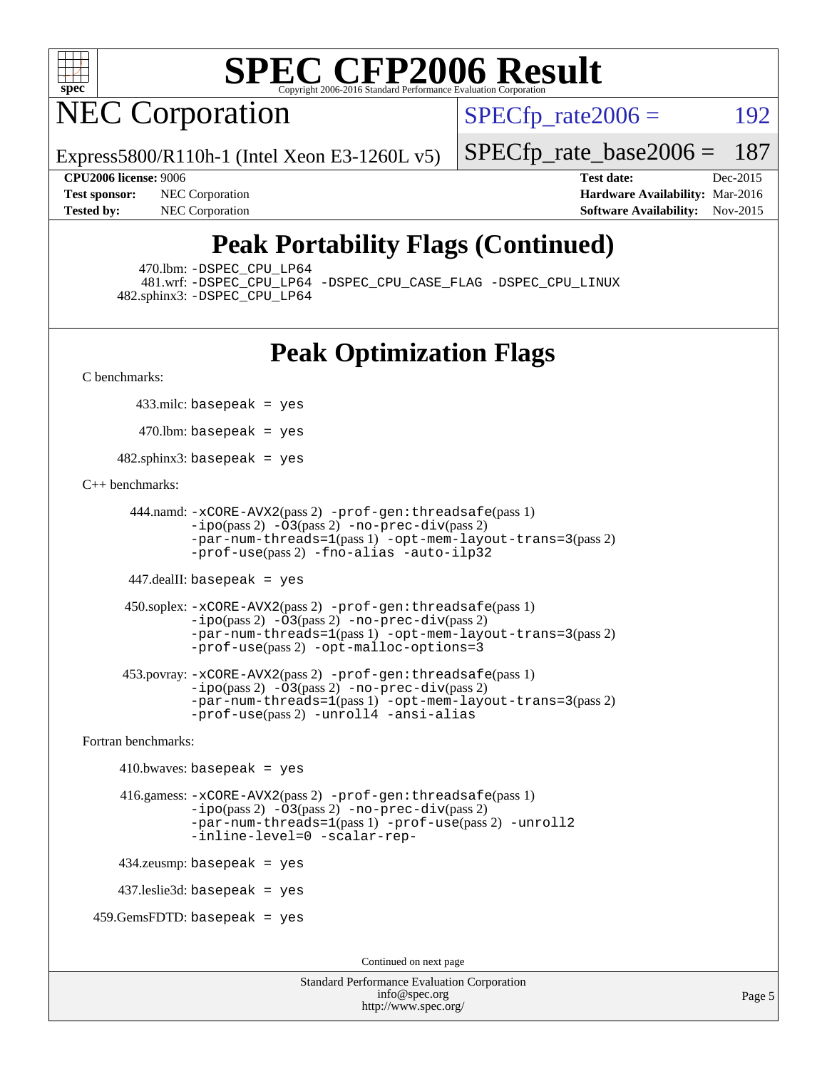

**NEC Corporation** 

 $SPECTp\_rate2006 = 192$ 

Express5800/R110h-1 (Intel Xeon E3-1260L v5)

[SPECfp\\_rate\\_base2006 =](http://www.spec.org/auto/cpu2006/Docs/result-fields.html#SPECfpratebase2006) 187

**[CPU2006 license:](http://www.spec.org/auto/cpu2006/Docs/result-fields.html#CPU2006license)** 9006 **[Test date:](http://www.spec.org/auto/cpu2006/Docs/result-fields.html#Testdate)** Dec-2015 **[Test sponsor:](http://www.spec.org/auto/cpu2006/Docs/result-fields.html#Testsponsor)** NEC Corporation **NEC Corporation [Hardware Availability:](http://www.spec.org/auto/cpu2006/Docs/result-fields.html#HardwareAvailability)** Mar-2016 **[Tested by:](http://www.spec.org/auto/cpu2006/Docs/result-fields.html#Testedby)** NEC Corporation **[Software Availability:](http://www.spec.org/auto/cpu2006/Docs/result-fields.html#SoftwareAvailability)** Nov-2015

### **[Peak Portability Flags \(Continued\)](http://www.spec.org/auto/cpu2006/Docs/result-fields.html#PeakPortabilityFlags)**

470.lbm: [-DSPEC\\_CPU\\_LP64](http://www.spec.org/cpu2006/results/res2016q1/cpu2006-20160125-38810.flags.html#suite_peakPORTABILITY470_lbm_DSPEC_CPU_LP64)

 481.wrf: [-DSPEC\\_CPU\\_LP64](http://www.spec.org/cpu2006/results/res2016q1/cpu2006-20160125-38810.flags.html#suite_peakPORTABILITY481_wrf_DSPEC_CPU_LP64) [-DSPEC\\_CPU\\_CASE\\_FLAG](http://www.spec.org/cpu2006/results/res2016q1/cpu2006-20160125-38810.flags.html#b481.wrf_peakCPORTABILITY_DSPEC_CPU_CASE_FLAG) [-DSPEC\\_CPU\\_LINUX](http://www.spec.org/cpu2006/results/res2016q1/cpu2006-20160125-38810.flags.html#b481.wrf_peakCPORTABILITY_DSPEC_CPU_LINUX) 482.sphinx3: [-DSPEC\\_CPU\\_LP64](http://www.spec.org/cpu2006/results/res2016q1/cpu2006-20160125-38810.flags.html#suite_peakPORTABILITY482_sphinx3_DSPEC_CPU_LP64)

### **[Peak Optimization Flags](http://www.spec.org/auto/cpu2006/Docs/result-fields.html#PeakOptimizationFlags)**

[C benchmarks](http://www.spec.org/auto/cpu2006/Docs/result-fields.html#Cbenchmarks):

433.milc: basepeak = yes

 $470$ .lbm: basepeak = yes

482.sphinx3: basepeak = yes

#### [C++ benchmarks:](http://www.spec.org/auto/cpu2006/Docs/result-fields.html#CXXbenchmarks)

```
 444.namd: -xCORE-AVX2(pass 2) -prof-gen:threadsafe(pass 1)
        -ipo(pass 2) -O3(pass 2) -no-prec-div(pass 2)
        -par-num-threads=1(pass 1) -opt-mem-layout-trans=3(pass 2)
        -prof-use(pass 2) -fno-alias -auto-ilp32
```
447.dealII: basepeak = yes

```
 450.soplex: -xCORE-AVX2(pass 2) -prof-gen:threadsafe(pass 1)
         -ipo(pass 2) -O3(pass 2) -no-prec-div(pass 2)
         -par-num-threads=1(pass 1) -opt-mem-layout-trans=3(pass 2)
         -prof-use(pass 2) -opt-malloc-options=3
```

```
 453.povray: -xCORE-AVX2(pass 2) -prof-gen:threadsafe(pass 1)
        -no-prec-div(pass 2)-par-num-threads=1(pass 1) -opt-mem-layout-trans=3(pass 2)
        -prof-use(pass 2) -unroll4 -ansi-alias
```
[Fortran benchmarks](http://www.spec.org/auto/cpu2006/Docs/result-fields.html#Fortranbenchmarks):

```
410.bwaves: basepeak = yes 416.gamess: -xCORE-AVX2(pass 2) -prof-gen:threadsafe(pass 1)
              -i\text{po}(pass 2) -\overline{O}3(pass 2)-no-prec-div(pass 2)
              -par-num-threads=1(pass 1) -prof-use(pass 2) -unroll2
              -inline-level=0 -scalar-rep-
    434.zeusmp: basepeak = yes
    437.leslie3d: basepeak = yes
459.GemsFDTD: basepeak = yes
```
Continued on next page